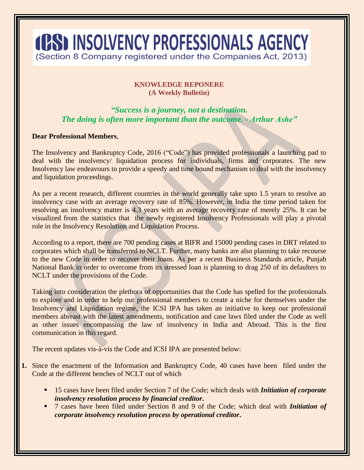## **4PSD INSOLVENCY PROFESSIONALS AGENCY** (Section 8 Company registered under the Companies Act, 2013)

## **KNOWLEDGE REPONERE (A Weekly Bulletin)**

## *"Success is a journey, not a destination. The doing is often more important than the outcome. - Arthur Ashe"*

## **Dear Professional Members**,

The Insolvency and Bankruptcy Code, 2016 ("Code") has provided professionals a launching pad to deal with the insolvency/ liquidation process for individuals, firms and corporates. The new Insolvency law endeavours to provide a speedy and time bound mechanism to deal with the insolvency and liquidation proceedings.

As per a recent research, different countries in the world generally take upto 1.5 years to resolve an insolvency case with an average recovery rate of 85%. However, in India the time period taken for resolving an insolvency matter is 4.3 years with an average recovery rate of merely 25%. It can be visualized from the statistics that the newly registered Insolvency Professionals will play a pivotal role in the Insolvency Resolution and Liquidation Process.

According to a report, there are 700 pending cases at BIFR and 15000 pending cases in DRT related to corporates which shall be transferred to NCLT. Further, many banks are also planning to take recourse to the new Code in order to recover their loans. As per a recent Business Standards article, Punjab National Bank in order to overcome from its stressed loan is planning to drag 250 of its defaulters to NCLT under the provisions of the Code.

Taking into consideration the plethora of opportunities that the Code has spelled for the professionals to explore and in order to help our professional members to create a niche for themselves under the Insolvency and Liquidation regime, the ICSI IPA has taken an initiative to keep our professional members abreast with the latest amendments, notification and case laws filed under the Code as well as other issues encompassing the law of insolvency in India and Abroad. This is the first communication in this regard.

The recent updates vis-à-vis the Code and ICSI IPA are presented below:

- **1.** Since the enactment of the Information and Bankruptcy Code, 40 cases have been filed under the Code at the different benches of NCLT out of which
	- 15 cases have been filed under Section 7 of the Code; which deals with *Initiation of corporate insolvency resolution process by financial creditor***.**
	- 7 cases have been filed under Section 8 and 9 of the Code; which deal with *Initiation of corporate insolvency resolution process by operational creditor***.**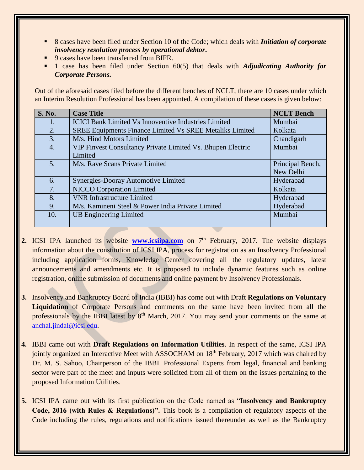- 8 cases have been filed under Section 10 of the Code; which deals with *Initiation of corporate insolvency resolution process by operational debtor***.**
- 9 cases have been transferred from BIFR.
- 1 case has been filed under Section 60(5) that deals with *Adjudicating Authority for Corporate Persons.*

Out of the aforesaid cases filed before the different benches of NCLT, there are 10 cases under which an Interim Resolution Professional has been appointed. A compilation of these cases is given below:

| <b>S. No.</b>  | <b>Case Title</b>                                           | <b>NCLT Bench</b> |
|----------------|-------------------------------------------------------------|-------------------|
| $1_{\odot}$    | <b>ICICI Bank Limited Vs Innoventive Industries Limited</b> | Mumbai            |
| 2.             | SREE Equipments Finance Limited Vs SREE Metaliks Limited    | Kolkata           |
| 3.             | M/s. Hind Motors Limited                                    | Chandigarh        |
| 4.             | VIP Finvest Consultancy Private Limited Vs. Bhupen Electric | Mumbai            |
|                | Limited                                                     |                   |
| 5 <sub>1</sub> | M/s. Rave Scans Private Limited                             | Principal Bench,  |
|                |                                                             | New Delhi         |
| 6.             | Synergies-Dooray Automotive Limited                         | Hyderabad         |
| 7.             | <b>NICCO Corporation Limited</b>                            | Kolkata           |
| 8.             | <b>VNR Infrastructure Limited</b>                           | Hyderabad         |
| 9.             | M/s. Kamineni Steel & Power India Private Limited           | Hyderabad         |
| 10.            | <b>UB Engineering Limited</b>                               | Mumbai            |
|                |                                                             |                   |

- **2.** ICSI IPA launched its website **[www.icsiipa.com](http://www.icsiipa.com/)** on 7<sup>th</sup> February, 2017. The website displays information about the constitution of ICSI IPA, process for registration as an Insolvency Professional including application forms, Knowledge Center covering all the regulatory updates, latest announcements and amendments etc. It is proposed to include dynamic features such as online registration, online submission of documents and online payment by Insolvency Professionals.
- **3.** Insolvency and Bankruptcy Board of India (IBBI) has come out with Draft **Regulations on Voluntary Liquidation** of Corporate Persons and comments on the same have been invited from all the professionals by the IBBI latest by  $8<sup>th</sup>$  March, 2017. You may send your comments on the same at [anchal.jindal@icsi.edu.](mailto:anchal.jindal@icsi.edu)
- **4.** IBBI came out with **Draft Regulations on Information Utilities**. In respect of the same, ICSI IPA jointly organized an Interactive Meet with ASSOCHAM on 18<sup>th</sup> February, 2017 which was chaired by Dr. M. S. Sahoo, Chairperson of the IBBI. Professional Experts from legal, financial and banking sector were part of the meet and inputs were solicited from all of them on the issues pertaining to the proposed Information Utilities.
- **5.** ICSI IPA came out with its first publication on the Code named as "**Insolvency and Bankruptcy Code, 2016 (with Rules & Regulations)".** This book is a compilation of regulatory aspects of the Code including the rules, regulations and notifications issued thereunder as well as the Bankruptcy